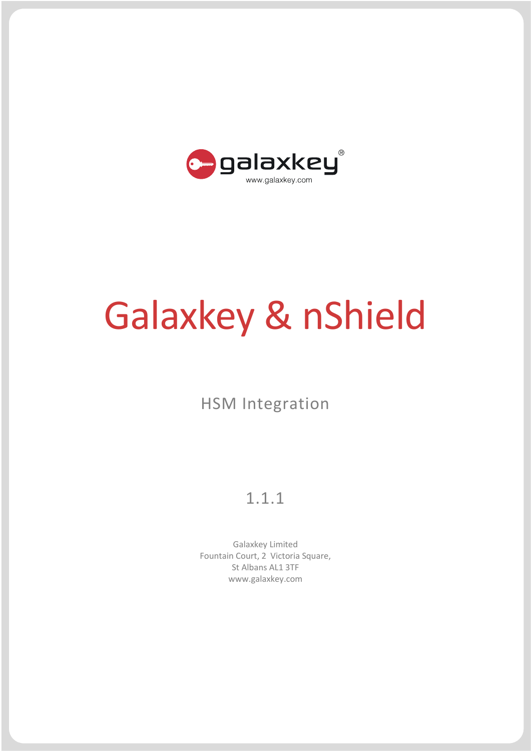

# Galaxkey & nShield

# HSM Integration

## 1.1.1

Galaxkey Limited Fountain Court, 2 Victoria Square, St Albans AL1 3TF www.galaxkey.com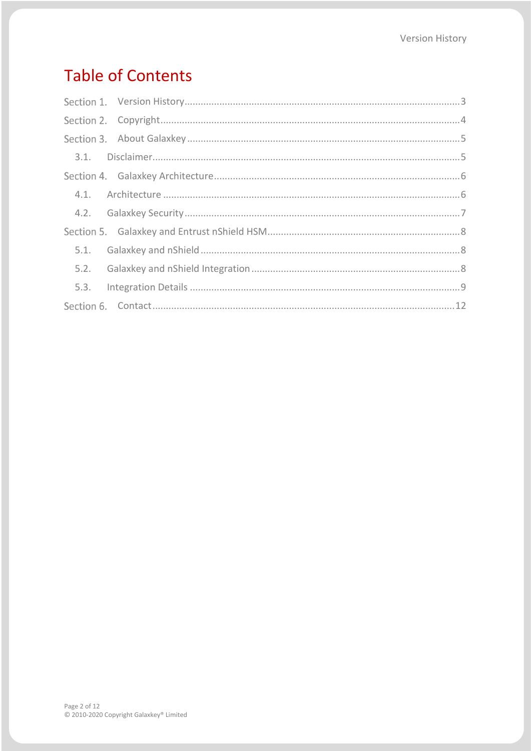# **Table of Contents**

| 5.3. |  |
|------|--|
|      |  |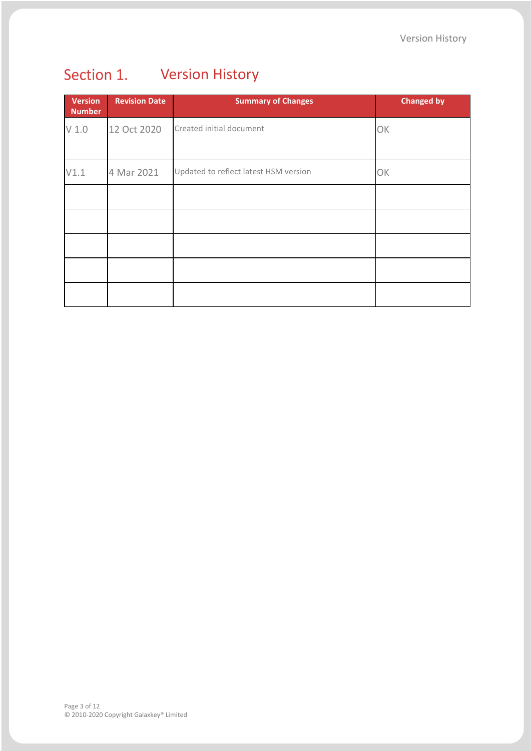<span id="page-2-0"></span>

| <b>Version</b><br><b>Number</b> | <b>Revision Date</b> | <b>Summary of Changes</b>             | <b>Changed by</b> |
|---------------------------------|----------------------|---------------------------------------|-------------------|
| V <sub>1.0</sub>                | 12 Oct 2020          | Created initial document              | OK                |
| V1.1                            | 4 Mar 2021           | Updated to reflect latest HSM version | OK                |
|                                 |                      |                                       |                   |
|                                 |                      |                                       |                   |
|                                 |                      |                                       |                   |
|                                 |                      |                                       |                   |
|                                 |                      |                                       |                   |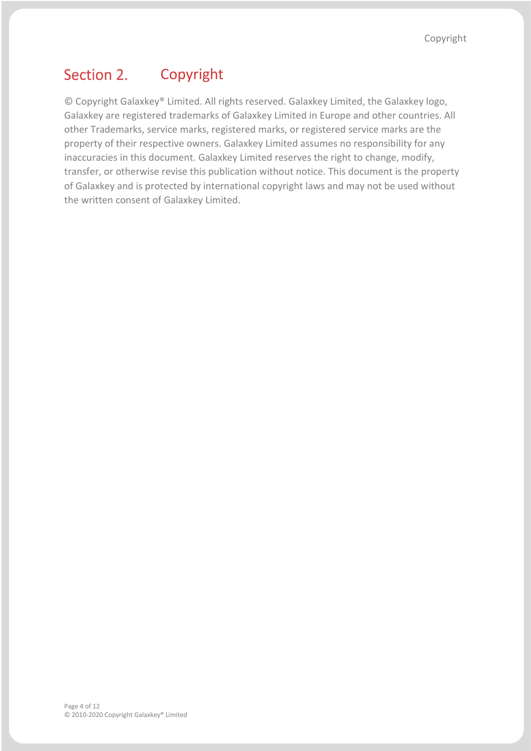#### <span id="page-3-0"></span>Section 2. Copyright

© Copyright Galaxkey® Limited. All rights reserved. Galaxkey Limited, the Galaxkey logo, Galaxkey are registered trademarks of Galaxkey Limited in Europe and other countries. All other Trademarks, service marks, registered marks, or registered service marks are the property of their respective owners. Galaxkey Limited assumes no responsibility for any inaccuracies in this document. Galaxkey Limited reserves the right to change, modify, transfer, or otherwise revise this publication without notice. This document is the property of Galaxkey and is protected by international copyright laws and may not be used without the written consent of Galaxkey Limited.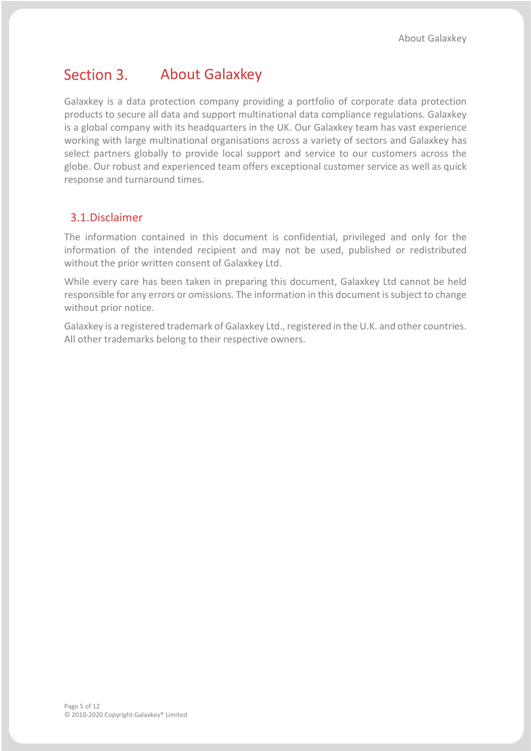#### <span id="page-4-0"></span>Section 3. About Galaxkey

Galaxkey is a data protection company providing a portfolio of corporate data protection products to secure all data and support multinational data compliance regulations. Galaxkey is a global company with its headquarters in the UK. Our Galaxkey team has vast experience working with large multinational organisations across a variety of sectors and Galaxkey has select partners globally to provide local support and service to our customers across the globe. Our robust and experienced team offers exceptional customer service as well as quick response and turnaround times.

## <span id="page-4-1"></span>3.1.Disclaimer

The information contained in this document is confidential, privileged and only for the information of the intended recipient and may not be used, published or redistributed without the prior written consent of Galaxkey Ltd.

While every care has been taken in preparing this document, Galaxkey Ltd cannot be held responsible for any errors or omissions. The information in this document is subject to change without prior notice.

Galaxkey is a registered trademark of Galaxkey Ltd., registered in the U.K. and other countries. All other trademarks belong to their respective owners.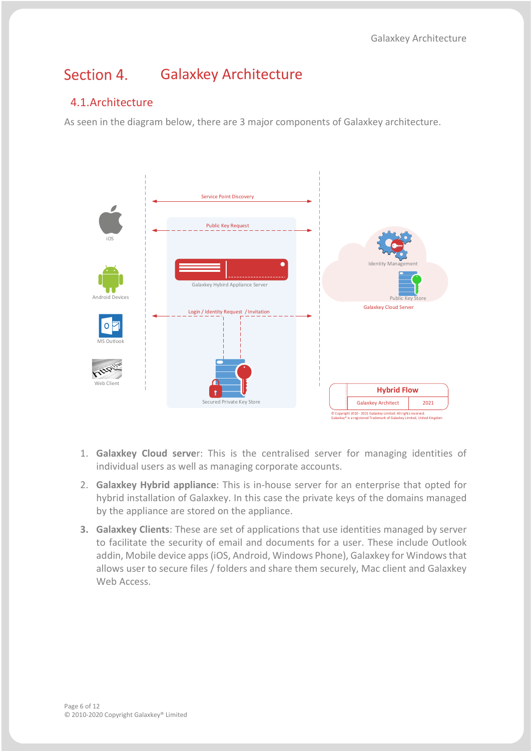#### <span id="page-5-0"></span>Section 4. Galaxkey Architecture

## <span id="page-5-1"></span>4.1.Architecture

As seen in the diagram below, there are 3 major components of Galaxkey architecture.



- 1. **Galaxkey Cloud serve**r: This is the centralised server for managing identities of individual users as well as managing corporate accounts.
- 2. **Galaxkey Hybrid appliance**: This is in-house server for an enterprise that opted for hybrid installation of Galaxkey. In this case the private keys of the domains managed by the appliance are stored on the appliance.
- **3. Galaxkey Clients**: These are set of applications that use identities managed by server to facilitate the security of email and documents for a user. These include Outlook addin, Mobile device apps (iOS, Android, Windows Phone), Galaxkey for Windows that allows user to secure files / folders and share them securely, Mac client and Galaxkey Web Access.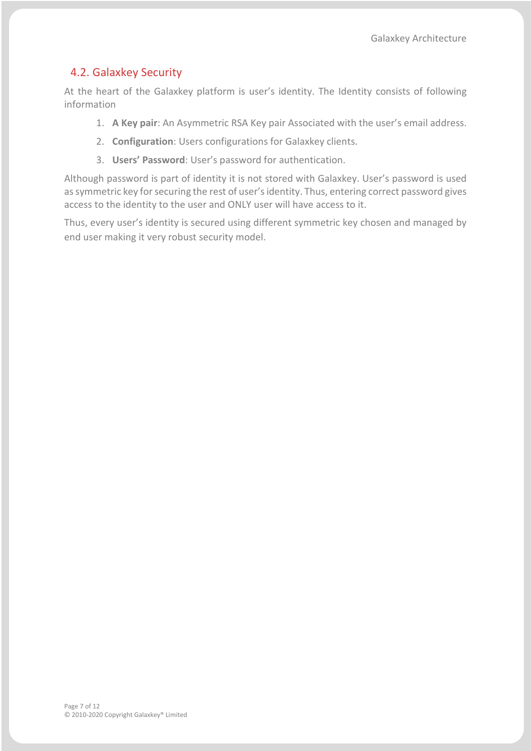## <span id="page-6-0"></span>4.2. Galaxkey Security

At the heart of the Galaxkey platform is user's identity. The Identity consists of following information

- 1. **A Key pair**: An Asymmetric RSA Key pair Associated with the user's email address.
- 2. **Configuration**: Users configurations for Galaxkey clients.
- 3. **Users' Password**: User's password for authentication.

Although password is part of identity it is not stored with Galaxkey. User's password is used as symmetric key for securing the rest of user's identity. Thus, entering correct password gives access to the identity to the user and ONLY user will have access to it.

Thus, every user's identity is secured using different symmetric key chosen and managed by end user making it very robust security model.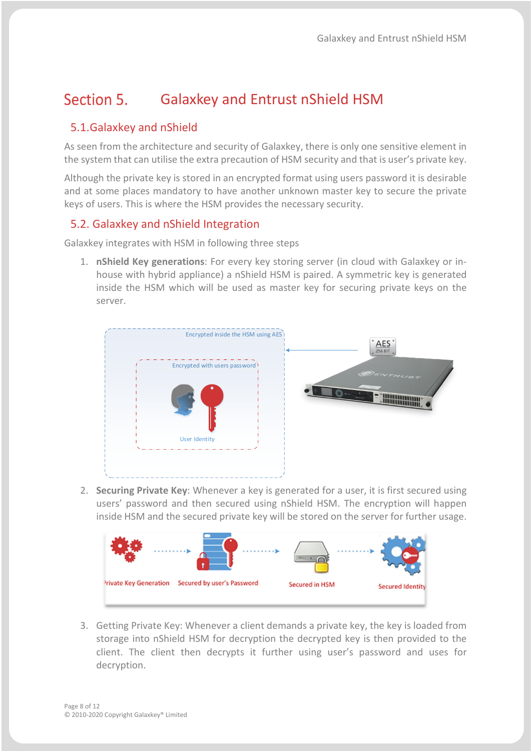#### <span id="page-7-0"></span>Section 5. Galaxkey and Entrust nShield HSM

## <span id="page-7-1"></span>5.1.Galaxkey and nShield

As seen from the architecture and security of Galaxkey, there is only one sensitive element in the system that can utilise the extra precaution of HSM security and that is user's private key.

Although the private key is stored in an encrypted format using users password it is desirable and at some places mandatory to have another unknown master key to secure the private keys of users. This is where the HSM provides the necessary security.

## <span id="page-7-2"></span>5.2. Galaxkey and nShield Integration

Galaxkey integrates with HSM in following three steps

1. **nShield Key generations**: For every key storing server (in cloud with Galaxkey or inhouse with hybrid appliance) a nShield HSM is paired. A symmetric key is generated inside the HSM which will be used as master key for securing private keys on the server.



2. **Securing Private Key**: Whenever a key is generated for a user, it is first secured using users' password and then secured using nShield HSM. The encryption will happen inside HSM and the secured private key will be stored on the server for further usage.



3. Getting Private Key: Whenever a client demands a private key, the key is loaded from storage into nShield HSM for decryption the decrypted key is then provided to the client. The client then decrypts it further using user's password and uses for decryption.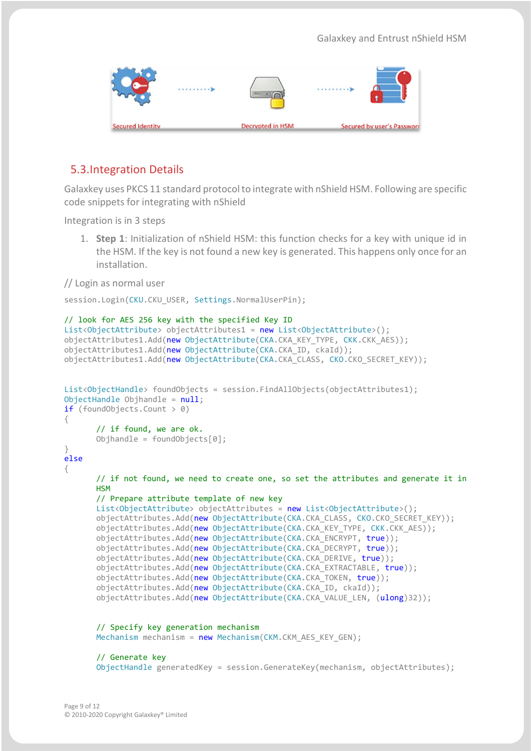|                  | . 3 |                         |                            |
|------------------|-----|-------------------------|----------------------------|
| Secured Identity |     | <b>Decrypted in HSM</b> | Secured by user's Password |

## <span id="page-8-0"></span>5.3.Integration Details

Galaxkey uses PKCS 11 standard protocol to integrate with nShield HSM. Following are specific code snippets for integrating with nShield

Integration is in 3 steps

1. **Step 1**: Initialization of nShield HSM: this function checks for a key with unique id in the HSM. If the key is not found a new key is generated. This happens only once for an installation.

### // Login as normal user

session.Login(CKU.CKU USER, Settings.NormalUserPin);

```
// look for AES 256 key with the specified Key ID
List<ObjectAttribute> objectAttributes1 = new List<ObjectAttribute>();
objectAttributes1.Add(new ObjectAttribute(CKA.CKA_KEY_TYPE, CKK.CKK_AES));
objectAttributes1.Add(new ObjectAttribute(CKA.CKA ID, ckaId));
objectAttributes1.Add(new ObjectAttribute(CKA.CKA_CLASS, CKO.CKO_SECRET_KEY));
List<ObjectHandle> foundObjects = session.FindAllObjects(objectAttributes1);
ObjectHandle Objhandle = null;if (foundObjects.Count > 0)
{
      // if found, we are ok.
      Objhandle = foundObjects[0];
}
else
{
      // if not found, we need to create one, so set the attributes and generate it in 
      HSM
      // Prepare attribute template of new key
      List<ObjectAttribute> objectAttributes = new List<ObjectAttribute>();
      objectAttributes.Add(new ObjectAttribute(CKA.CKA CLASS, CKO.CKO SECRET KEY));
      objectAttributes.Add(new ObjectAttribute(CKA.CKA KEY TYPE, CKK.CKK AES));
      objectAttributes.Add(new ObjectAttribute(CKA.CKA ENCRYPT, true));
      objectAttributes.Add(new ObjectAttribute(CKA.CKA_DECRYPT, true));
      objectAttributes.Add(new ObjectAttribute(CKA.CKA_DERIVE, true));
      objectAttributes.Add(new ObjectAttribute(CKA.CKA EXTRACTABLE, true));
      objectAttributes.Add(new ObjectAttribute(CKA.CKA_TOKEN, true));
      objectAttributes.Add(new ObjectAttribute(CKA.CKA_ID, ckaId));
      objectAttributes.Add(new ObjectAttribute(CKA.CKA VALUE LEN, (ulong)32));
      // Specify key generation mechanism
      Mechanism mechanism = new Mechanism (CKM.CKM AES KEY GEN);
      // Generate key
      ObjectHandle generatedKey = session.GenerateKey(mechanism, objectAttributes);
```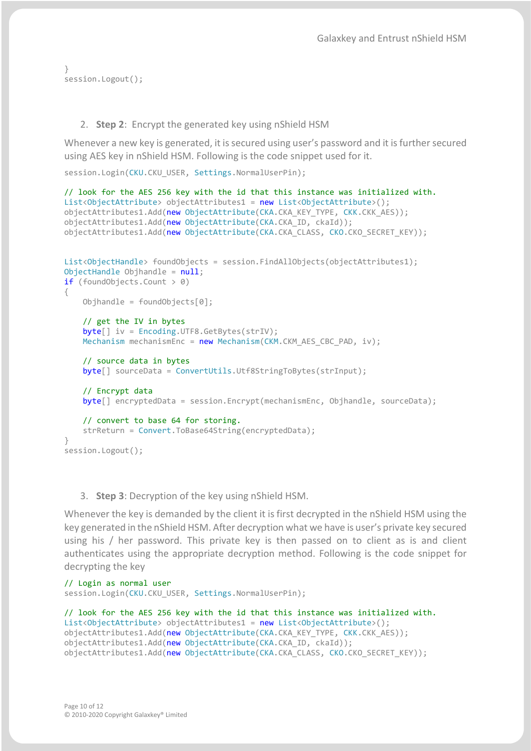```
}
session.Logout();
```
#### 2. **Step 2**: Encrypt the generated key using nShield HSM

Whenever a new key is generated, it is secured using user's password and it is further secured using AES key in nShield HSM. Following is the code snippet used for it.

```
session.Login(CKU.CKU USER, Settings.NormalUserPin);
```

```
// look for the AES 256 key with the id that this instance was initialized with.
List<ObjectAttribute> objectAttributes1 = new List<ObjectAttribute>();
objectAttributes1.Add(new ObjectAttribute(CKA.CKA KEY TYPE, CKK.CKK AES));
objectAttributes1.Add(new ObjectAttribute(CKA.CKA_ID, ckaId));
objectAttributes1.Add(new ObjectAttribute(CKA.CKA_CLASS, CKO.CKO_SECRET_KEY));
List<ObjectHandle> foundObjects = session.FindAllObjects(objectAttributes1);
ObjectHandle Objhandle = null;
if (foundObjects.Count > 0)
{
   Objhandle = foundObjects[0]; // get the IV in bytes
    byte[] iv = Encoding.UTF8.GetBytes(strIV);
   Mechanism mechanismEnc = new Mechanism(CKM.CKM_AES_CBC_PAD, iv);
    // source data in bytes
    byte[] sourceData = ConvertUtils.Utf8StringToBytes(strInput);
    // Encrypt data
    byte[] encryptedData = session.Encrypt(mechanismEnc, Objhandle, sourceData);
     // convert to base 64 for storing.
    strReturn = Convert.ToBase64String(encryptedData);
}
session.Logout();
```
#### 3. **Step 3**: Decryption of the key using nShield HSM.

Whenever the key is demanded by the client it is first decrypted in the nShield HSM using the key generated in the nShield HSM. After decryption what we have is user's private key secured using his / her password. This private key is then passed on to client as is and client authenticates using the appropriate decryption method. Following is the code snippet for decrypting the key

```
// Login as normal user
session.Login(CKU.CKU USER, Settings.NormalUserPin);
```

```
// look for the AES 256 key with the id that this instance was initialized with.
List<ObjectAttribute> objectAttributes1 = new List<ObjectAttribute>();
objectAttributes1.Add(new ObjectAttribute(CKA.CKA KEY TYPE, CKK.CKK AES));
objectAttributes1.Add(new ObjectAttribute(CKA.CKA_ID, ckaId));
objectAttributes1.Add(new ObjectAttribute(CKA.CKA_CLASS, CKO.CKO_SECRET_KEY));
```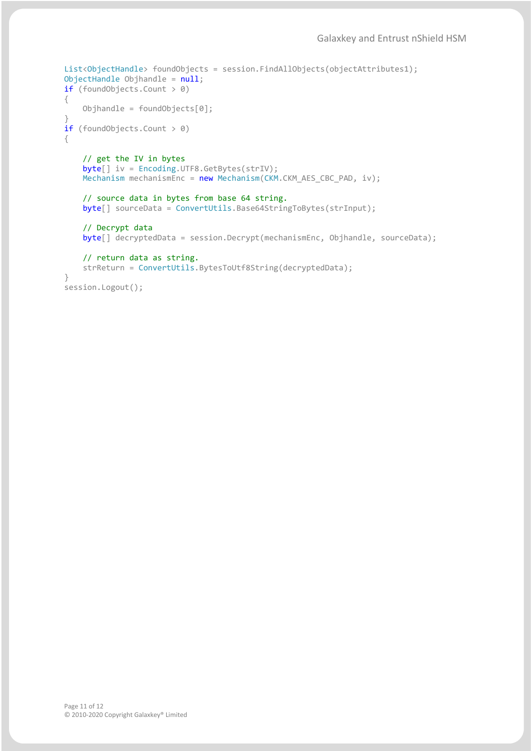```
List<ObjectHandle> foundObjects = session.FindAllObjects(objectAttributes1);
ObjectHandle Objhandle = null;
if (foundObjects.Count > 0)
{
     Objhandle = foundObjects[0];
}
if (foundObjects.Count > 0)
{
     // get the IV in bytes
     byte[] iv = Encoding.UTF8.GetBytes(strIV);
    Mechanism mechanismEnc = new Mechanism(CKM.CKM_AES_CBC_PAD, iv);
     // source data in bytes from base 64 string. 
     byte[] sourceData = ConvertUtils.Base64StringToBytes(strInput);
     // Decrypt data
    byte[] decryptedData = session.Decrypt(mechanismEnc, Objhandle, sourceData);
     // return data as string.
     strReturn = ConvertUtils.BytesToUtf8String(decryptedData);
}
```
session.Logout();